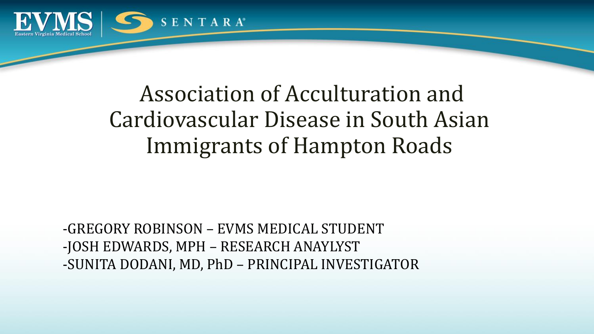

## Association of Acculturation and Cardiovascular Disease in South Asian Immigrants of Hampton Roads

-GREGORY ROBINSON – EVMS MEDICAL STUDENT -JOSH EDWARDS, MPH – RESEARCH ANAYLYST -SUNITA DODANI, MD, PhD – PRINCIPAL INVESTIGATOR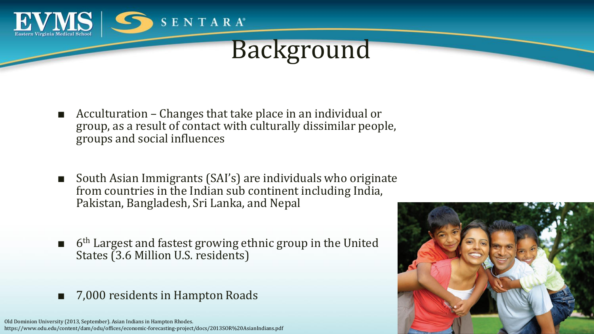

# Background

- Acculturation Changes that take place in an individual or group, as a result of contact with culturally dissimilar people, groups and social influences
- South Asian Immigrants (SAI's) are individuals who originate from countries in the Indian sub continent including India, Pakistan, Bangladesh, Sri Lanka, and Nepal
- 6<sup>th</sup> Largest and fastest growing ethnic group in the United States (3.6 Million U.S. residents)
- 7,000 residents in Hampton Roads

Old Dominion University (2013, September). Asian Indians in Hampton Rhodes. https://www.odu.edu/content/dam/odu/offices/economic-forecasting-project/docs/2013SOR%20AsianIndians.pdf

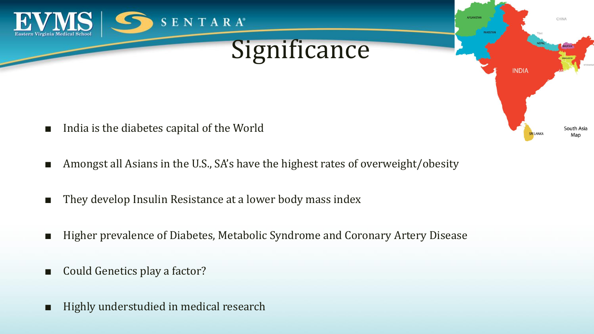

- Amongst all Asians in the U.S., SA's have the highest rates of overweight/obesity
- They develop Insulin Resistance at a lower body mass index
- Higher prevalence of Diabetes, Metabolic Syndrome and Coronary Artery Disease
- Could Genetics play a factor?
- Highly understudied in medical research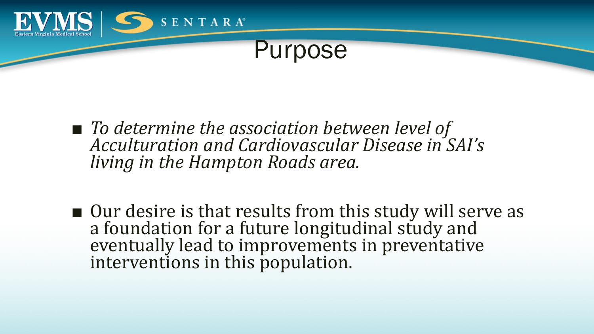

#### Purpose

- *To determine the association between level of Acculturation and Cardiovascular Disease in SAI's living in the Hampton Roads area.*
- Our desire is that results from this study will serve as a foundation for a future longitudinal study and eventually lead to improvements in preventative interventions in this population.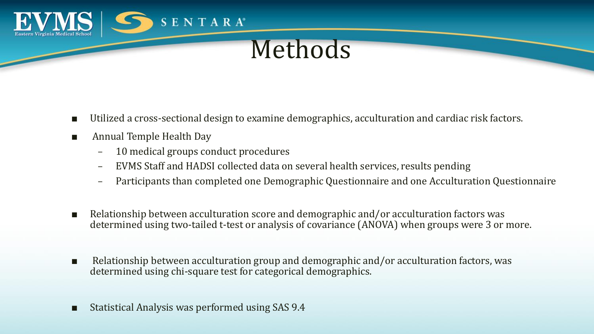

#### Methods

- Utilized a cross-sectional design to examine demographics, acculturation and cardiac risk factors.
- Annual Temple Health Day
	- 10 medical groups conduct procedures
	- EVMS Staff and HADSI collected data on several health services, results pending
	- Participants than completed one Demographic Questionnaire and one Acculturation Questionnaire
- Relationship between acculturation score and demographic and/or acculturation factors was determined using two-tailed t-test or analysis of covariance (ANOVA) when groups were 3 or more.
- Relationship between acculturation group and demographic and/or acculturation factors, was determined using chi-square test for categorical demographics.
- Statistical Analysis was performed using SAS 9.4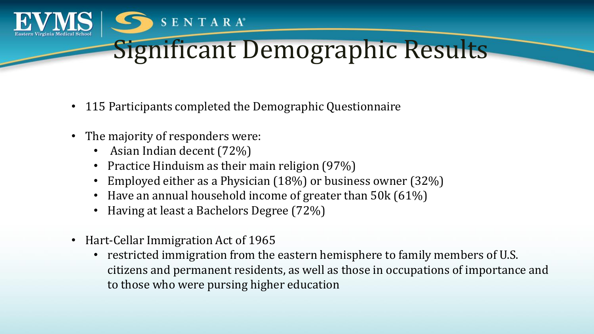

- 115 Participants completed the Demographic Questionnaire
- The majority of responders were:
	- Asian Indian decent (72%)
	- Practice Hinduism as their main religion (97%)
	- Employed either as a Physician (18%) or business owner (32%)
	- Have an annual household income of greater than 50k (61%)
	- Having at least a Bachelors Degree (72%)

**SENTARA®** 

- Hart-Cellar Immigration Act of 1965
	- restricted immigration from the eastern hemisphere to family members of U.S. citizens and permanent residents, as well as those in occupations of importance and to those who were pursing higher education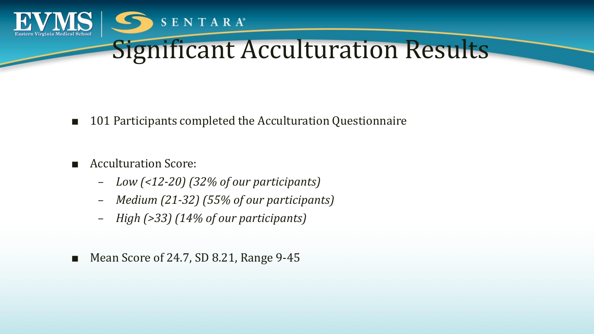

- 101 Participants completed the Acculturation Questionnaire
- Acculturation Score:
	- *Low (<12-20) (32% of our participants)*
	- *Medium (21-32) (55% of our participants)*
	- *High (>33) (14% of our participants)*
- Mean Score of 24.7, SD 8.21, Range 9-45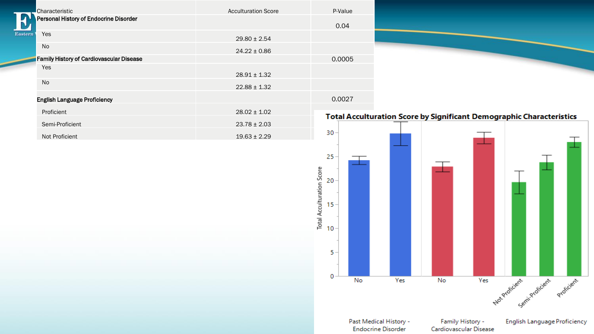| Characteristic                           | <b>Acculturation Score</b> | P-Value                                                                     |                                                     |                                            |     |                                           |                              |
|------------------------------------------|----------------------------|-----------------------------------------------------------------------------|-----------------------------------------------------|--------------------------------------------|-----|-------------------------------------------|------------------------------|
| Personal History of Endocrine Disorder   |                            |                                                                             |                                                     |                                            |     |                                           |                              |
| Yes                                      |                            | 0.04                                                                        |                                                     |                                            |     |                                           |                              |
| stern                                    | $29.80 \pm 2.54$           |                                                                             |                                                     |                                            |     |                                           |                              |
| No                                       | $24.22 \pm 0.86$           |                                                                             |                                                     |                                            |     |                                           |                              |
| Family History of Cardiovascular Disease |                            | 0.0005                                                                      |                                                     |                                            |     |                                           |                              |
| Yes                                      | $28.91 \pm 1.32$           |                                                                             |                                                     |                                            |     |                                           |                              |
| $\operatorname{\mathsf{No}}$             | $22.88 \pm 1.32$           |                                                                             |                                                     |                                            |     |                                           |                              |
| <b>English Language Proficiency</b>      |                            | 0.0027                                                                      |                                                     |                                            |     |                                           |                              |
| Proficient                               | $28.02 \pm 1.02$           |                                                                             |                                                     |                                            |     |                                           |                              |
| Semi-Proficient                          | $23.78 \pm 2.03$           | <b>Total Acculturation Score by Significant Demographic Characteristics</b> |                                                     |                                            |     |                                           |                              |
| Not Proficient                           | $19.63 \pm 2.29$           | 30 <sub>1</sub>                                                             |                                                     |                                            |     |                                           |                              |
|                                          |                            | 25<br>Total Acculturation Score<br>20<br>$15 -$<br>$10 -$<br>$5 -$<br>0     |                                                     |                                            |     |                                           |                              |
|                                          |                            | No                                                                          | Yes                                                 | No                                         | Yes | Noterchiclent Semilyroficient erroficient |                              |
|                                          |                            |                                                                             | Past Medical History -<br><b>Endocrine Disorder</b> | Family History -<br>Cardiovascular Disease |     |                                           | English Language Proficiency |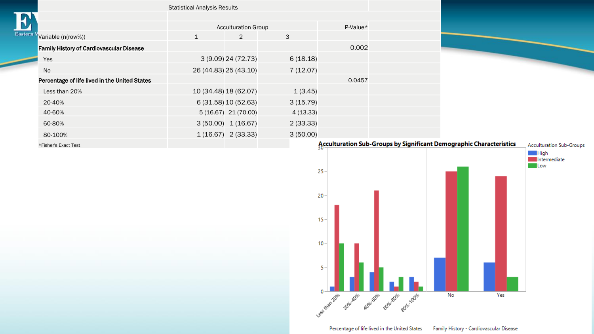| <b>Statistical Analysis Results</b>             |                            |                         |          |                                |  |
|-------------------------------------------------|----------------------------|-------------------------|----------|--------------------------------|--|
|                                                 |                            |                         |          |                                |  |
|                                                 | <b>Acculturation Group</b> | $P-Value*$              |          |                                |  |
| Variable (n(row%))                              | $\mathbf{1}$               | 2                       | 3        |                                |  |
| <b>Family History of Cardiovascular Disease</b> |                            |                         |          | 0.002                          |  |
| Yes                                             |                            | 3 (9.09) 24 (72.73)     | 6(18.18) |                                |  |
| No                                              |                            | 26 (44.83) 25 (43.10)   | 7(12.07) |                                |  |
| Percentage of life lived in the United States   |                            |                         |          | 0.0457                         |  |
| Less than 20%                                   |                            | 10 (34.48) 18 (62.07)   | 1(3.45)  |                                |  |
| 20-40%                                          |                            | 6 (31.58) 10 (52.63)    | 3(15.79) |                                |  |
| 40-60%                                          |                            | $5(16.67)$ 21 $(70.00)$ | 4(13.33) |                                |  |
| 60-80%                                          |                            | 3(50.00) 1(16.67)       | 2(33.33) |                                |  |
| 80-100%                                         |                            | $1(16.67)$ 2(33.33)     | 3(50.00) |                                |  |
| *Fisher's Exact Test                            |                            |                         |          | <b>Acculturation Sub-Group</b> |  |

Eastern



Percentage of life lived in the United States Family History - Cardiovascular Disease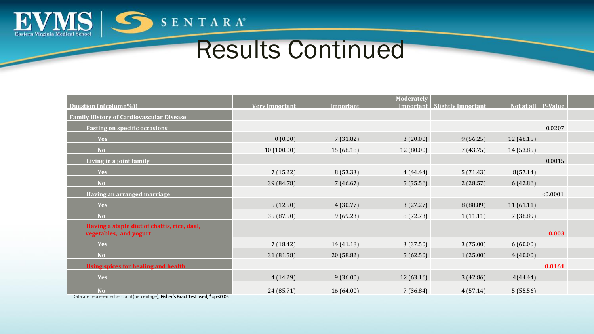

# Results Continued

|                                                                                            |                       |            | Moderately |                                |                      |          |  |
|--------------------------------------------------------------------------------------------|-----------------------|------------|------------|--------------------------------|----------------------|----------|--|
| <b>Question</b> (n(column%))                                                               | <b>Very Important</b> | Important  |            | Important   Slightly Important | Not at all   P-Value |          |  |
| <b>Family History of Cardiovascular Disease</b>                                            |                       |            |            |                                |                      |          |  |
| <b>Fasting on specific occasions</b>                                                       |                       |            |            |                                |                      | 0.0207   |  |
| <b>Yes</b>                                                                                 | 0(0.00)               | 7(31.82)   | 3(20.00)   | 9(56.25)                       | 12 (46.15)           |          |  |
| <b>No</b>                                                                                  | 10(100.00)            | 15 (68.18) | 12 (80.00) | 7(43.75)                       | 14 (53.85)           |          |  |
| Living in a joint family                                                                   |                       |            |            |                                |                      | 0.0015   |  |
| <b>Yes</b>                                                                                 | 7(15.22)              | 8 (53.33)  | 4(44.44)   | 5(71.43)                       | 8(57.14)             |          |  |
| <b>No</b>                                                                                  | 39 (84.78)            | 7(46.67)   | 5(55.56)   | 2(28.57)                       | 6 (42.86)            |          |  |
| <b>Having an arranged marriage</b>                                                         |                       |            |            |                                |                      | < 0.0001 |  |
| <b>Yes</b>                                                                                 | 5(12.50)              | 4(30.77)   | 3(27.27)   | 8 (88.89)                      | 11(61.11)            |          |  |
| <b>No</b>                                                                                  | 35 (87.50)            | 9(69.23)   | 8 (72.73)  | 1(11.11)                       | 7(38.89)             |          |  |
| Having a staple diet of chattis, rice, daal,<br>vegetables, and yogurt                     |                       |            |            |                                |                      | 0.003    |  |
| <b>Yes</b>                                                                                 | 7(18.42)              | 14 (41.18) | 3(37.50)   | 3(75.00)                       | 6(60.00)             |          |  |
| <b>No</b>                                                                                  | 31 (81.58)            | 20 (58.82) | 5(62.50)   | 1(25.00)                       | 4(40.00)             |          |  |
| <b>Using spices for healing and health</b>                                                 |                       |            |            |                                |                      | 0.0161   |  |
| <b>Yes</b>                                                                                 | 4(14.29)              | 9(36.00)   | 12(63.16)  | 3(42.86)                       | 4(44.44)             |          |  |
| <b>No</b><br>Data are represented as count/persentage): Eisher's Exact Test used *-n <0.0E | 24 (85.71)            | 16(64.00)  | 7(36.84)   | 4(57.14)                       | 5(55.56)             |          |  |

Data are represented as count(percentage); Fisher**'**s Exact Test used, \*=p <0.05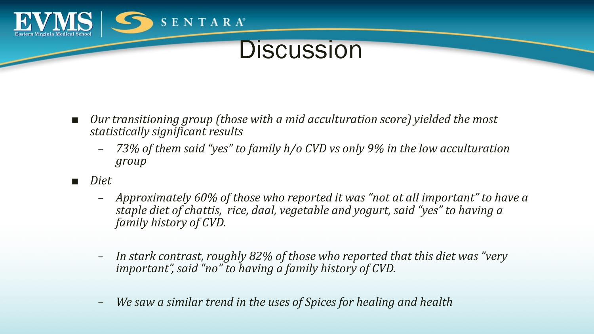

### **Discussion**

- *Our transitioning group (those with a mid acculturation score) yielded the most statistically significant results*
	- *73% of them said "yes" to family h/o CVD vs only 9% in the low acculturation group*
- *Diet*
	- *Approximately 60% of those who reported it was "not at all important" to have a staple diet of chattis, rice, daal, vegetable and yogurt, said "yes" to having a family history of CVD.*
	- *In stark contrast, roughly 82% of those who reported that this diet was "very important", said "no" to having a family history of CVD.*
	- *We saw a similar trend in the uses of Spices for healing and health*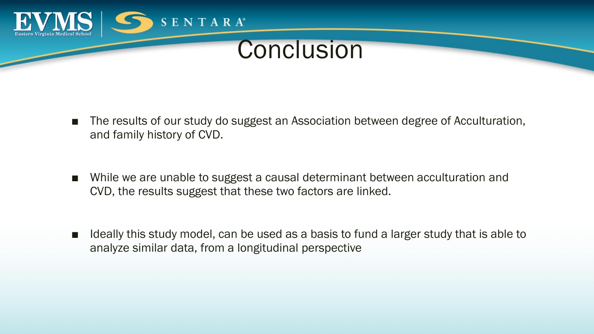

### **Conclusion**

- The results of our study do suggest an Association between degree of Acculturation, and family history of CVD.
- While we are unable to suggest a causal determinant between acculturation and CVD, the results suggest that these two factors are linked.
- Ideally this study model, can be used as a basis to fund a larger study that is able to analyze similar data, from a longitudinal perspective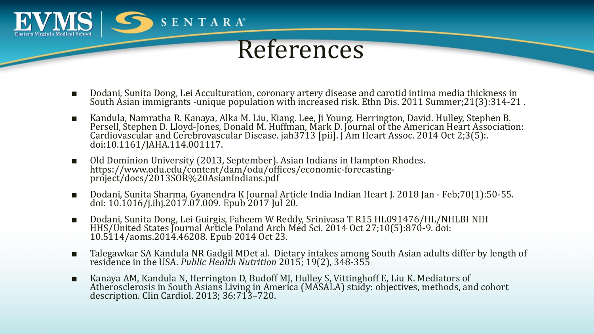

#### References

- Dodani, Sunita Dong, Lei Acculturation, coronary artery disease and carotid intima media thickness in South Asian immigrants -unique population with increased risk. Ethn Dis. 2011 Summer;21(3):314-21 .
- Kandula, Namratha R. Kanaya, Alka M. Liu, Kiang. Lee, Ji Young. Herrington, David. Hulley, Stephen B. Persell, Stephen D. Lloyd‐Jones, Donald M. Huffman, Mark D. Journal of the American Heart Association: Cardiovascular and Cerebrovascular Disease. jah3713 [pii]. J Am Heart Assoc. 2014 Oct 2;3(5):. doi:10.1161/JAHA.114.001117.
- Old Dominion University (2013, September). Asian Indians in Hampton Rhodes. https://www.odu.edu/content/dam/odu/offices/economic-forecastingproject/docs/2013SOR%20AsianIndians.pdf
- Dodani, Sunita Sharma, Gyanendra K Journal Article India Indian Heart J. 2018 Jan Feb;70(1):50-55. doi: 10.1016/j.ihj.2017.07.009. Epub 2017 Jul 20.
- Dodani, Sunita Dong, Lei Guirgis, Faheem W Reddy, Srinivasa T R15 HL091476/HL/NHLBI NIH HHS/United States Journal Article Poland Arch Med Sci. 2014 Oct 27;10(5):870-9. doi: 10.5114/aoms.2014.46208. Epub 2014 Oct 23.
- Talegawkar SA Kandula NR Gadgil MDet al. Dietary intakes among South Asian adults differ by length of residence in the USA. *Public Health Nutrition* 2015; 19(2), 348-355
- Kanaya AM, Kandula N, Herrington D, Budoff MJ, Hulley S, Vittinghoff E, Liu K. Mediators of Atherosclerosis in South Asians Living in America (MASALA) study: objectives, methods, and cohort description. Clin Cardiol. 2013; 36:713–720.